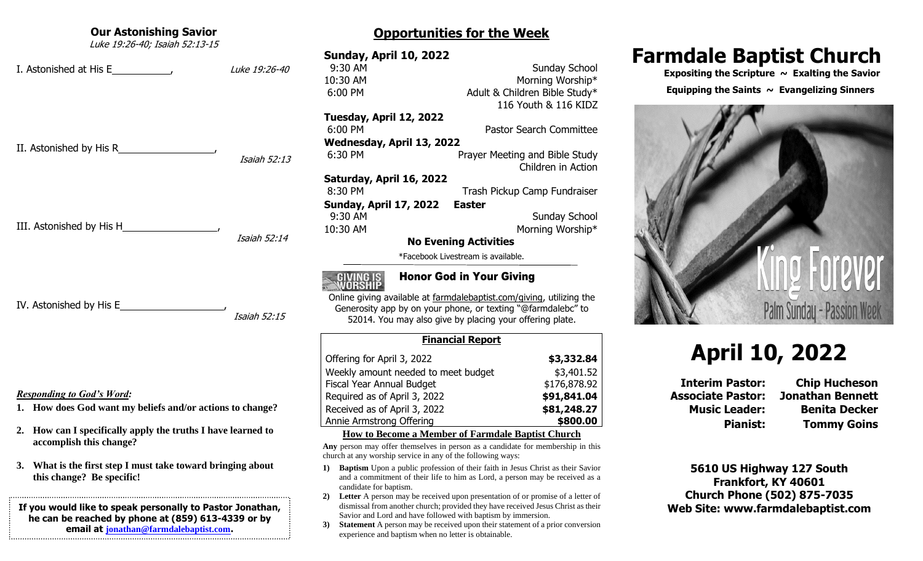# **Our Astonishing Savior** Luke 19:26-40; Isaiah 52:13-15 I. Astonished at His E , Luke 19:26-40 II. Astonished by His R , Isaiah 52:13 III. Astonished by His H , Isaiah 52:14 IV. Astonished by His E Isaiah 52:15 *Responding to God's Word:* **1. How does God want my beliefs and/or actions to change? 2. How can I specifically apply the truths I have learned to accomplish this change? 3. What is the first step I must take toward bringing about this change? Be specific! If you would like to speak personally to Pastor Jonathan, he can be reached by phone at (859) 613-4339 or by**

**email at [jonathan@farmdalebaptist.com](mailto:jonathan@farmdalebaptist.com).**

#### **Sunday, April 10, 2022 9:30 AM** Sunday School 10:30 AM Morning Worship\* 6:00 PM Adult & Children Bible Study\* 116 Youth & 116 KIDZ **Tuesday, April 12, 2022** 6:00 PM Pastor Search Committee **Wednesday, April 13, 2022** 6:30 PM Prayer Meeting and Bible Study Children in Action **Saturday, April 16, 2022** 8:30 PM Trash Pickup Camp Fundraiser **Sunday, April 17, 2022 Easter 9:30 AM** Sunday School 10:30 AM Morning Worship\* **No Evening Activities** \*Facebook Livestream is available.

**Opportunities for the Week**

## Honor God in Your Giving

Online giving available at farmdalebaptist.com/giving, utilizing the Generosity app by on your phone, or texting "@farmdalebc" to 52014. You may also give by placing your offering plate.

| <b>Financial Report</b>             |              |  |
|-------------------------------------|--------------|--|
| Offering for April 3, 2022          | \$3,332.84   |  |
| Weekly amount needed to meet budget | \$3,401.52   |  |
| Fiscal Year Annual Budget           | \$176,878.92 |  |
| Required as of April 3, 2022        | \$91,841.04  |  |
| Received as of April 3, 2022        | \$81,248.27  |  |
| Annie Armstrong Offering            | \$800.00     |  |
|                                     |              |  |

#### **How to Become a Member of Farmdale Baptist Church**

**Any** person may offer themselves in person as a candidate for membership in this church at any worship service in any of the following ways:

- **1) Baptism** Upon a public profession of their faith in Jesus Christ as their Savior and a commitment of their life to him as Lord, a person may be received as a candidate for baptism.
- **2) Letter** A person may be received upon presentation of or promise of a letter of dismissal from another church; provided they have received Jesus Christ as their Savior and Lord and have followed with baptism by immersion.
- **3) Statement** A person may be received upon their statement of a prior conversion experience and baptism when no letter is obtainable.

# **Farmdale Baptist Church**

 **Expositing the Scripture ~ Exalting the Savior**

Equipping the Saints  $\sim$  Evangelizing Sinners



# **April 10, 2022**

**Associate Pastor: Jonathan Bennett**

**Interim Pastor: Chip Hucheson Music Leader: Benita Decker Pianist: Tommy Goins**

**5610 US Highway 127 South Frankfort, KY 40601 Church Phone (502) 875-7035 Web Site: www.farmdalebaptist.com**